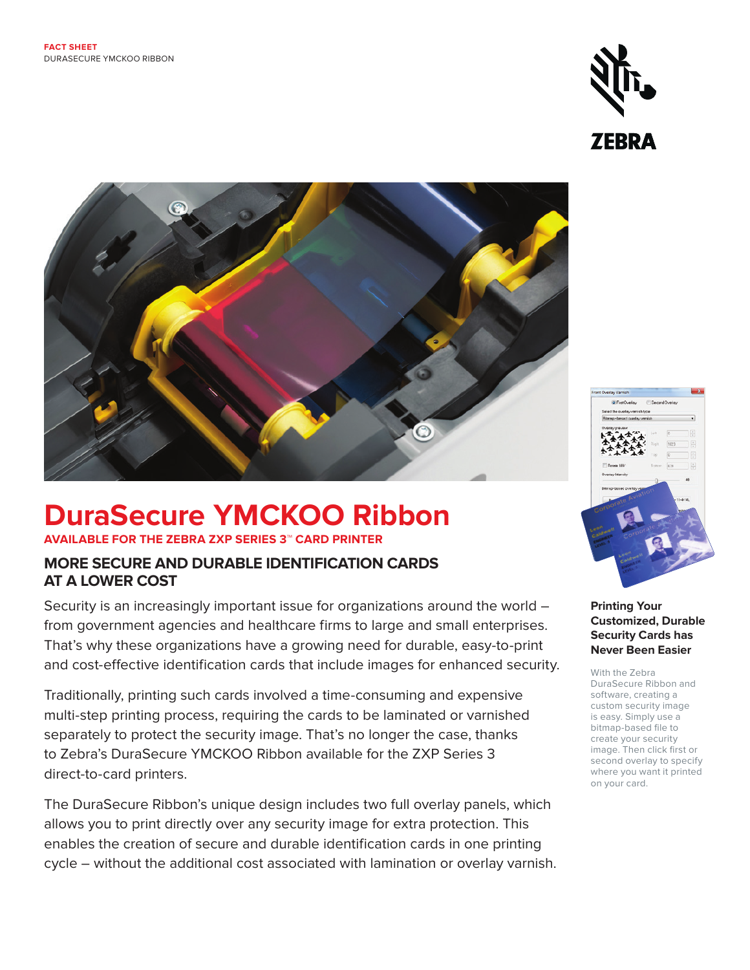



# **DuraSecure YMCKOO Ribbon**

### **AVAILABLE FOR THE ZEBRA ZXP SERIES 3™ CARD PRINTER**

# **MORE SECURE AND DURABLE IDENTIFICATION CARDS AT A LOWER COST**

Security is an increasingly important issue for organizations around the world – from government agencies and healthcare firms to large and small enterprises. That's why these organizations have a growing need for durable, easy-to-print and cost-effective identification cards that include images for enhanced security.

Traditionally, printing such cards involved a time-consuming and expensive multi-step printing process, requiring the cards to be laminated or varnished separately to protect the security image. That's no longer the case, thanks to Zebra's DuraSecure YMCKOO Ribbon available for the ZXP Series 3 direct-to-card printers.

The DuraSecure Ribbon's unique design includes two full overlay panels, which allows you to print directly over any security image for extra protection. This enables the creation of secure and durable identification cards in one printing cycle – without the additional cost associated with lamination or overlay varnish.



#### **Printing Your Customized, Durable Security Cards has Never Been Easier**

With the Zebra DuraSecure Ribbon and software, creating a custom security image is easy. Simply use a bitmap-based file to create your security image. Then click first or second overlay to specify where you want it printed on your card.